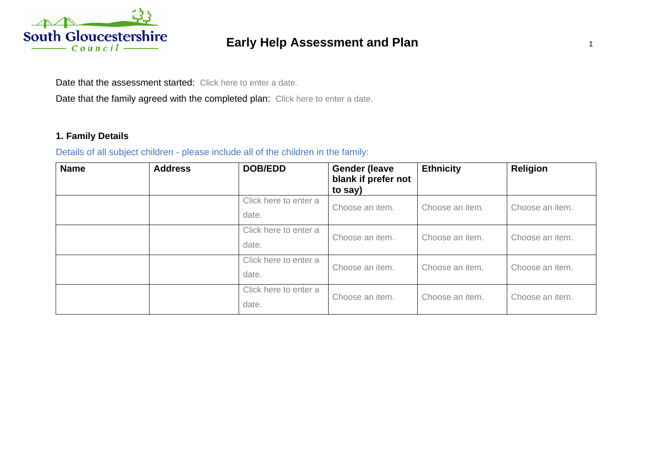

# **Early Help Assessment and Plan** <sup>1</sup>

Date that the assessment started: Click here to enter a date.

Date that the family agreed with the completed plan: Click here to enter a date.

## **1. Family Details**

Details of all subject children - please include all of the children in the family:

| <b>Name</b> | <b>Address</b> | <b>DOB/EDD</b>                 | <b>Gender (leave</b><br>blank if prefer not<br>to say) | <b>Ethnicity</b> | <b>Religion</b> |
|-------------|----------------|--------------------------------|--------------------------------------------------------|------------------|-----------------|
|             |                | Click here to enter a<br>date. | Choose an item.                                        | Choose an item.  | Choose an item. |
|             |                | Click here to enter a<br>date. | Choose an item.                                        | Choose an item.  | Choose an item. |
|             |                | Click here to enter a<br>date. | Choose an item.                                        | Choose an item.  | Choose an item. |
|             |                | Click here to enter a<br>date. | Choose an item.                                        | Choose an item.  | Choose an item. |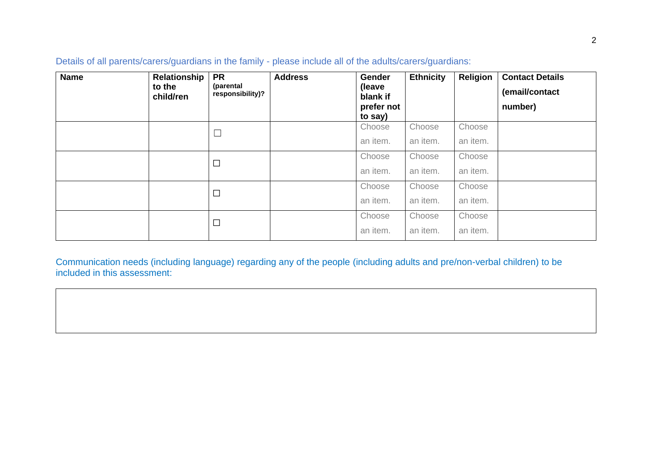| <b>Name</b> | Relationship<br>to the<br>child/ren | <b>PR</b><br>(parental<br>responsibility)? | <b>Address</b> | Gender<br>(leave<br>blank if<br>prefer not<br>to say) | <b>Ethnicity</b>   | Religion           | <b>Contact Details</b><br>(email/contact<br>number) |
|-------------|-------------------------------------|--------------------------------------------|----------------|-------------------------------------------------------|--------------------|--------------------|-----------------------------------------------------|
|             |                                     | $\Box$                                     |                | Choose<br>an item.                                    | Choose<br>an item. | Choose<br>an item. |                                                     |
|             |                                     | $\Box$                                     |                | Choose<br>an item.                                    | Choose<br>an item. | Choose<br>an item. |                                                     |
|             |                                     | $\Box$                                     |                | Choose<br>an item.                                    | Choose<br>an item. | Choose<br>an item. |                                                     |
|             |                                     | $\Box$                                     |                | Choose<br>an item.                                    | Choose<br>an item. | Choose<br>an item. |                                                     |

Details of all parents/carers/guardians in the family - please include all of the adults/carers/guardians:

Communication needs (including language) regarding any of the people (including adults and pre/non-verbal children) to be included in this assessment: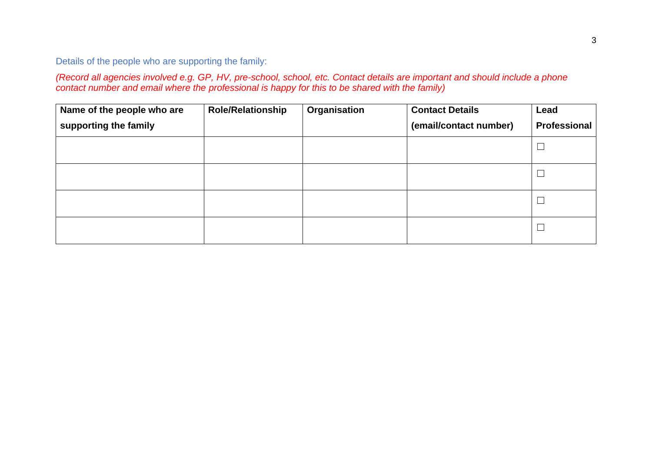Details of the people who are supporting the family:

*(Record all agencies involved e.g. GP, HV, pre-school, school, etc. Contact details are important and should include a phone contact number and email where the professional is happy for this to be shared with the family)*

| Name of the people who are | <b>Role/Relationship</b> | Organisation | <b>Contact Details</b> | Lead         |
|----------------------------|--------------------------|--------------|------------------------|--------------|
| supporting the family      |                          |              | (email/contact number) | Professional |
|                            |                          |              |                        |              |
|                            |                          |              |                        |              |
|                            |                          |              |                        |              |
|                            |                          |              |                        |              |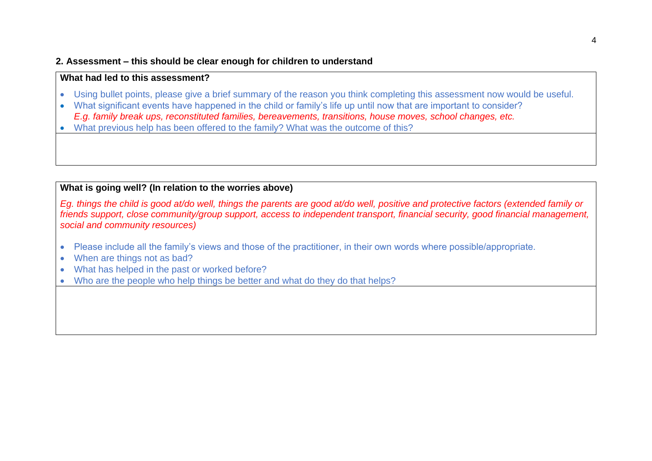#### **2. Assessment – this should be clear enough for children to understand**

### **What had led to this assessment?**

- Using bullet points, please give a brief summary of the reason you think completing this assessment now would be useful.
- What significant events have happened in the child or family's life up until now that are important to consider? *E.g. family break ups, reconstituted families, bereavements, transitions, house moves, school changes, etc.*
- What previous help has been offered to the family? What was the outcome of this?

## **What is going well? (In relation to the worries above)**

*Eg. things the child is good at/do well, things the parents are good at/do well, positive and protective factors (extended family or friends support, close community/group support, access to independent transport, financial security, good financial management, social and community resources)*

- Please include all the family's views and those of the practitioner, in their own words where possible/appropriate.
- When are things not as bad?
- What has helped in the past or worked before?
- Who are the people who help things be better and what do they do that helps?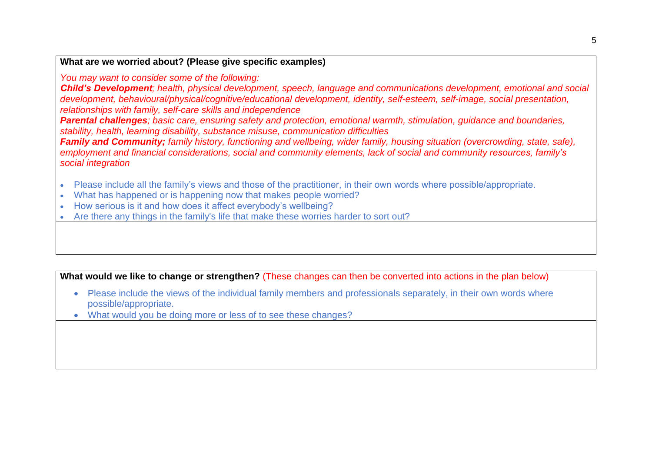## **What are we worried about? (Please give specific examples)**

#### *You may want to consider some of the following:*

*Child's Development; health, physical development, speech, language and communications development, emotional and social development, behavioural/physical/cognitive/educational development, identity, self-esteem, self-image, social presentation, relationships with family, self-care skills and independence*

*Parental challenges; basic care, ensuring safety and protection, emotional warmth, stimulation, guidance and boundaries, stability, health, learning disability, substance misuse, communication difficulties*

*Family and Community; family history, functioning and wellbeing, wider family, housing situation (overcrowding, state, safe), employment and financial considerations, social and community elements, lack of social and community resources, family's social integration*

- Please include all the family's views and those of the practitioner, in their own words where possible/appropriate.
- What has happened or is happening now that makes people worried?
- How serious is it and how does it affect everybody's wellbeing?
- Are there any things in the family's life that make these worries harder to sort out?

**What would we like to change or strengthen?** (These changes can then be converted into actions in the plan below)

- Please include the views of the individual family members and professionals separately, in their own words where possible/appropriate.
- What would you be doing more or less of to see these changes?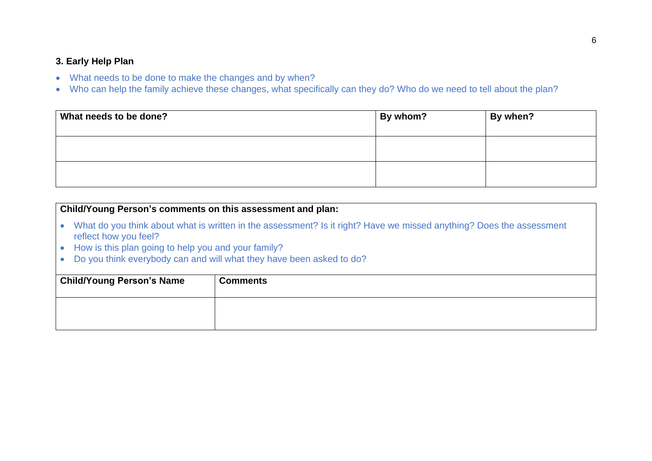#### **3. Early Help Plan**

- What needs to be done to make the changes and by when?
- Who can help the family achieve these changes, what specifically can they do? Who do we need to tell about the plan?

| What needs to be done? | By whom? | By when? |
|------------------------|----------|----------|
|                        |          |          |
|                        |          |          |

## **Child/Young Person's comments on this assessment and plan:**

- What do you think about what is written in the assessment? Is it right? Have we missed anything? Does the assessment reflect how you feel?
- How is this plan going to help you and your family?
- Do you think everybody can and will what they have been asked to do?

| <b>Child/Young Person's Name</b> | <b>Comments</b> |
|----------------------------------|-----------------|
|                                  |                 |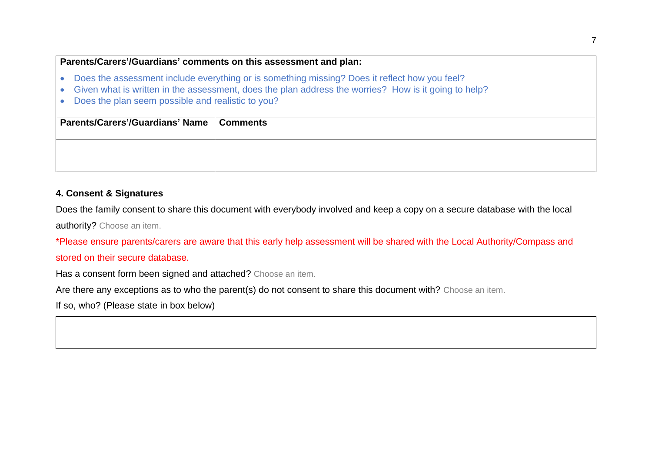## **Parents/Carers'/Guardians' comments on this assessment and plan:**

- Does the assessment include everything or is something missing? Does it reflect how you feel?
- Given what is written in the assessment, does the plan address the worries? How is it going to help?
- Does the plan seem possible and realistic to you?

| Parents/Carers'/Guardians' Name   Comments |  |
|--------------------------------------------|--|
|                                            |  |

#### **4. Consent & Signatures**

Does the family consent to share this document with everybody involved and keep a copy on a secure database with the local authority? Choose an item.

\*Please ensure parents/carers are aware that this early help assessment will be shared with the Local Authority/Compass and stored on their secure database.

Has a consent form been signed and attached? Choose an item.

Are there any exceptions as to who the parent(s) do not consent to share this document with? Choose an item.

If so, who? (Please state in box below)